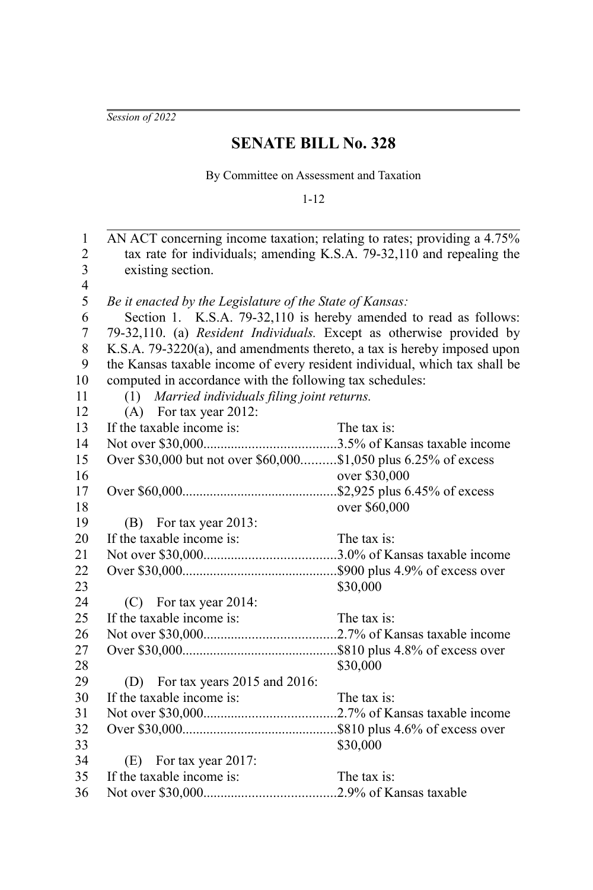*Session of 2022*

## **SENATE BILL No. 328**

By Committee on Assessment and Taxation

1-12

AN ACT concerning income taxation; relating to rates; providing a 4.75% tax rate for individuals; amending K.S.A. 79-32,110 and repealing the existing section. *Be it enacted by the Legislature of the State of Kansas:* Section 1. K.S.A. 79-32,110 is hereby amended to read as follows: 79-32,110. (a) *Resident Individuals.* Except as otherwise provided by K.S.A. 79-3220(a), and amendments thereto, a tax is hereby imposed upon the Kansas taxable income of every resident individual, which tax shall be computed in accordance with the following tax schedules: (1) *Married individuals filing joint returns.* (A) For tax year 2012: If the taxable income is: The tax is: Not over \$30,000......................................3.5% of Kansas taxable income Over \$30,000 but not over \$60,000..........\$1,050 plus 6.25% of excess over \$30,000 Over \$60,000.............................................\$2,925 plus 6.45% of excess over \$60,000 (B) For tax year 2013: If the taxable income is: The tax is: Not over \$30,000......................................3.0% of Kansas taxable income Over \$30,000.............................................\$900 plus 4.9% of excess over \$30,000 (C) For tax year 2014: If the taxable income is: The tax is: Not over \$30,000......................................2.7% of Kansas taxable income Over \$30,000.............................................\$810 plus 4.8% of excess over \$30,000 (D) For tax years 2015 and 2016: If the taxable income is: The tax is: Not over \$30,000......................................2.7% of Kansas taxable income Over \$30,000.............................................\$810 plus 4.6% of excess over \$30,000 (E) For tax year 2017: If the taxable income is: The tax is: Not over \$30,000......................................2.9% of Kansas taxable 1 2 3 4 5 6 7 8 9 10 11 12 13 14 15 16 17 18 19 20 21 22 23 24 25 26 27 28 29 30 31 32 33 34 35 36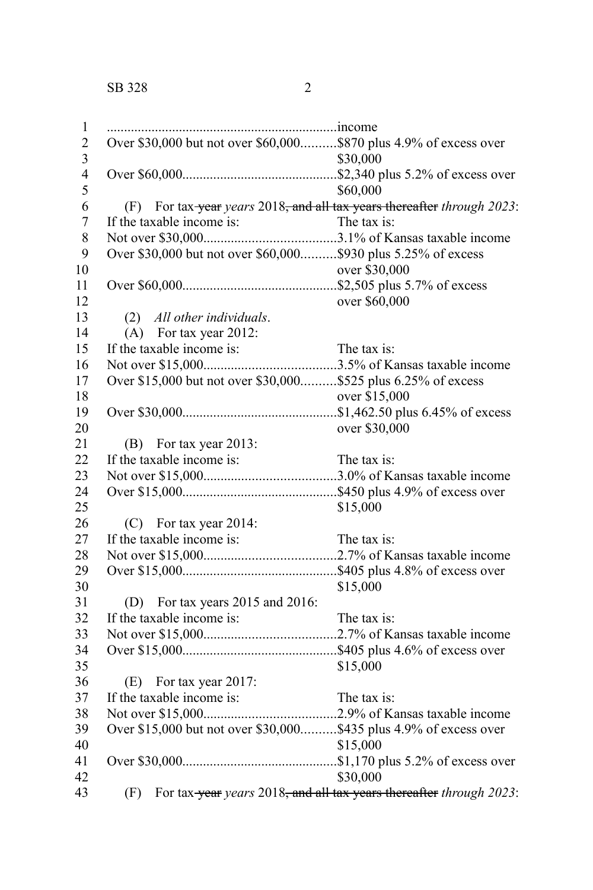...................................................................income Over \$30,000 but not over \$60,000..........\$870 plus 4.9% of excess over \$30,000 Over \$60,000.............................................\$2,340 plus 5.2% of excess over \$60,000 (F) For tax year *years* 2018, and all tax years thereafter *through 2023*: If the taxable income is: Not over \$30,000......................................3.1% of Kansas taxable income Over \$30,000 but not over \$60,000..........\$930 plus 5.25% of excess over \$30,000 Over \$60,000.............................................\$2,505 plus 5.7% of excess over \$60,000 (2) *All other individuals*. (A) For tax year 2012: If the taxable income is: The tax is: Not over \$15,000......................................3.5% of Kansas taxable income Over \$15,000 but not over \$30,000..........\$525 plus 6.25% of excess over \$15,000 Over \$30,000.............................................\$1,462.50 plus 6.45% of excess over \$30,000 (B) For tax year 2013: If the taxable income is: The tax is: Not over \$15,000......................................3.0% of Kansas taxable income Over \$15,000.............................................\$450 plus 4.9% of excess over \$15,000 (C) For tax year 2014: If the taxable income is: The tax is: Not over \$15,000......................................2.7% of Kansas taxable income Over \$15,000.............................................\$405 plus 4.8% of excess over \$15,000 (D) For tax years 2015 and 2016: If the taxable income is: The tax is: Not over \$15,000......................................2.7% of Kansas taxable income Over \$15,000.............................................\$405 plus 4.6% of excess over \$15,000 (E) For tax year 2017: If the taxable income is: The tax is: Not over \$15,000......................................2.9% of Kansas taxable income Over \$15,000 but not over \$30,000..........\$435 plus 4.9% of excess over \$15,000 Over \$30,000.............................................\$1,170 plus 5.2% of excess over \$30,000 (F) For tax year *years* 2018, and all tax years thereafter *through 2023*: 1 2 3 4 5 6 7 8 9 10 11 12 13 14 15 16 17 18 19 20 21 22 23 24 25 26 27 28 29 30 31 32 33 34 35 36 37 38 39 40 41 42 43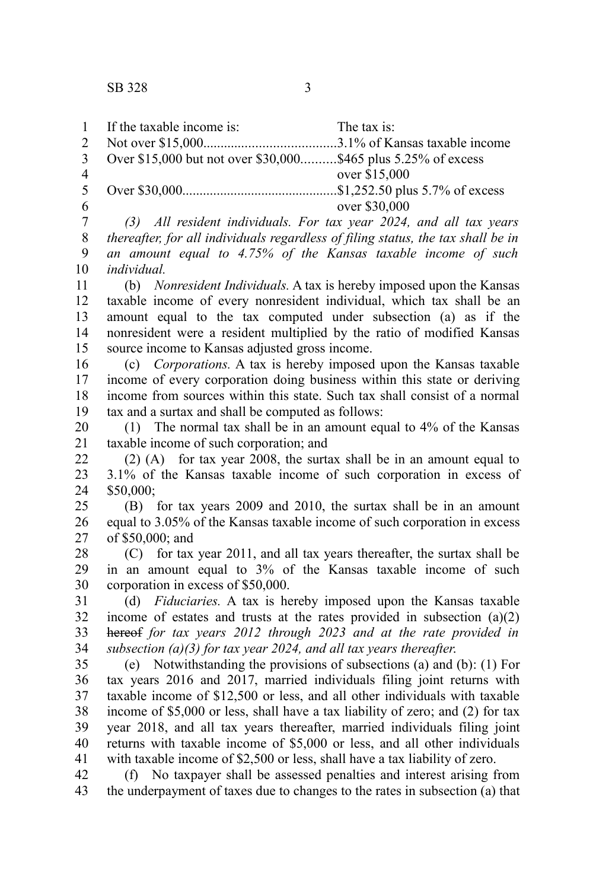1

If the taxable income is: The tax is:

| $\overline{c}$          |                                                                                  |
|-------------------------|----------------------------------------------------------------------------------|
| 3                       | Over \$15,000 but not over \$30,000\$465 plus 5.25% of excess                    |
| $\overline{\mathbf{4}}$ | over \$15,000                                                                    |
| 5                       |                                                                                  |
| 6                       | over \$30,000                                                                    |
| $\boldsymbol{7}$        | (3) All resident individuals. For tax year 2024, and all tax years               |
| 8                       | thereafter, for all individuals regardless of filing status, the tax shall be in |
| 9                       | an amount equal to 4.75% of the Kansas taxable income of such                    |
| 10                      | individual.                                                                      |
| 11                      | (b) Nonresident Individuals. A tax is hereby imposed upon the Kansas             |
| 12                      | taxable income of every nonresident individual, which tax shall be an            |
| 13                      | amount equal to the tax computed under subsection (a) as if the                  |
| 14                      | nonresident were a resident multiplied by the ratio of modified Kansas           |
| 15                      | source income to Kansas adjusted gross income.                                   |
| 16                      | Corporations. A tax is hereby imposed upon the Kansas taxable<br>(c)             |
| 17                      | income of every corporation doing business within this state or deriving         |
| 18                      | income from sources within this state. Such tax shall consist of a normal        |
| 19                      | tax and a surtax and shall be computed as follows:                               |
| 20                      | (1) The normal tax shall be in an amount equal to $4\%$ of the Kansas            |
| 21                      | taxable income of such corporation; and                                          |
| 22                      | $(2)$ (A) for tax year 2008, the surtax shall be in an amount equal to           |
| 23                      | 3.1% of the Kansas taxable income of such corporation in excess of               |
| 24                      | \$50,000;                                                                        |
| 25                      | (B) for tax years 2009 and 2010, the surtax shall be in an amount                |
| 26                      | equal to 3.05% of the Kansas taxable income of such corporation in excess        |
| 27                      | of \$50,000; and                                                                 |
| 28                      | for tax year 2011, and all tax years thereafter, the surtax shall be<br>(C) =    |
| 29                      | in an amount equal to 3% of the Kansas taxable income of such                    |
| 30                      | corporation in excess of \$50,000.                                               |
| 31                      | (d) Fiduciaries. A tax is hereby imposed upon the Kansas taxable                 |
| 32                      | income of estates and trusts at the rates provided in subsection $(a)(2)$        |
| 33                      | hereof for tax years 2012 through 2023 and at the rate provided in               |
| 34                      | subsection (a)(3) for tax year 2024, and all tax years thereafter.               |
| 35                      | (e) Notwithstanding the provisions of subsections (a) and (b): $(1)$ For         |
| 36                      | tax years 2016 and 2017, married individuals filing joint returns with           |
| 37                      | taxable income of \$12,500 or less, and all other individuals with taxable       |
| 38                      | income of \$5,000 or less, shall have a tax liability of zero; and (2) for tax   |
| 39                      | year 2018, and all tax years thereafter, married individuals filing joint        |
| 40                      | returns with taxable income of \$5,000 or less, and all other individuals        |
| 41                      | with taxable income of \$2,500 or less, shall have a tax liability of zero.      |
| 42                      | No taxpayer shall be assessed penalties and interest arising from<br>(f)         |

the underpayment of taxes due to changes to the rates in subsection (a) that 42 43